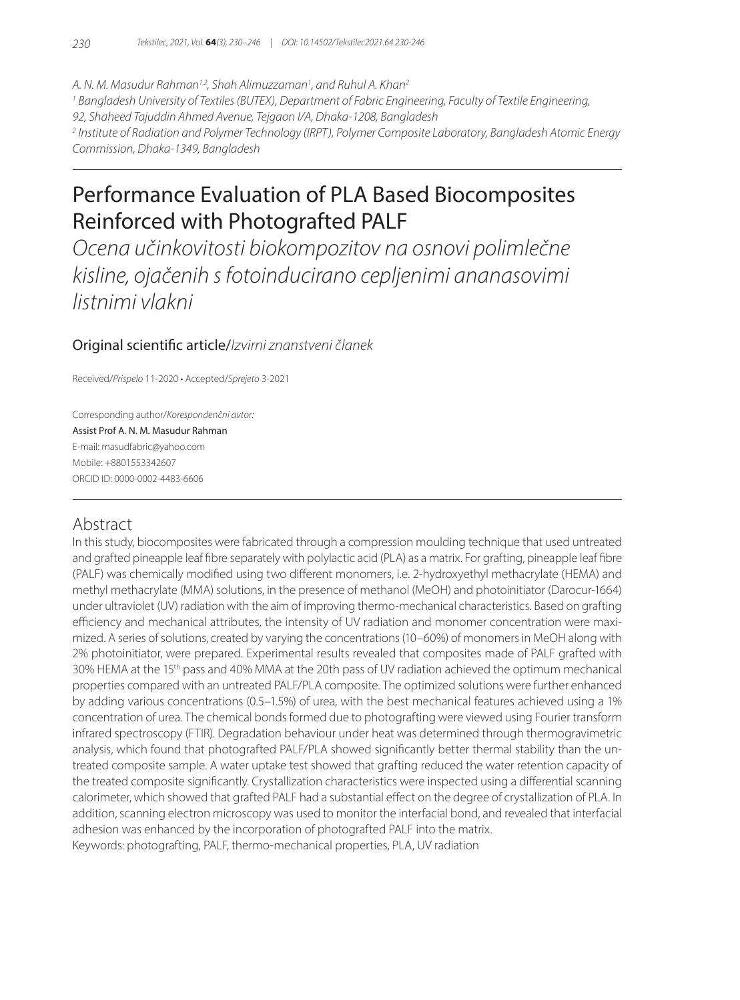*A. N. M. Masudur Rahman1,2, Shah Alimuzzaman1 , and Ruhul A. Khan2 1 Bangladesh University of Textiles (BUTEX), Department of Fabric Engineering, Faculty of Textile Engineering, 92, Shaheed Tajuddin Ahmed Avenue, Tejgaon I/A, Dhaka-1208, Bangladesh 2 Institute of Radiation and Polymer Technology (IRPT), Polymer Composite Laboratory, Bangladesh Atomic Energy Commission, Dhaka-1349, Bangladesh*

# Performance Evaluation of PLA Based Biocomposites Reinforced with Photografted PALF

*Ocena učinkovitosti biokompozitov na osnovi polimlečne kisline, ojačenih s fotoinducirano cepljenimi ananasovimi listnimi vlakni*

## Original scientific article/*Izvirni znanstveni članek*

Received/*Prispelo* 11-2020 • Accepted/*Sprejeto* 3-2021

Corresponding author/*Korespondenčni avtor:* Assist Prof A. N. M. Masudur Rahman E-mail: masudfabric@yahoo.com Mobile: +8801553342607 ORCID ID: 0000-0002-4483-6606

# Abstract

In this study, biocomposites were fabricated through a compression moulding technique that used untreated and grafted pineapple leaf fibre separately with polylactic acid (PLA) as a matrix. For grafting, pineapple leaf fibre (PALF) was chemically modified using two different monomers, i.e. 2-hydroxyethyl methacrylate (HEMA) and methyl methacrylate (MMA) solutions, in the presence of methanol (MeOH) and photoinitiator (Darocur-1664) under ultraviolet (UV) radiation with the aim of improving thermo-mechanical characteristics. Based on grafting efficiency and mechanical attributes, the intensity of UV radiation and monomer concentration were maximized. A series of solutions, created by varying the concentrations (10–60%) of monomers in MeOH along with 2% photoinitiator, were prepared. Experimental results revealed that composites made of PALF grafted with 30% HEMA at the 15th pass and 40% MMA at the 20th pass of UV radiation achieved the optimum mechanical properties compared with an untreated PALF/PLA composite. The optimized solutions were further enhanced by adding various concentrations (0.5–1.5%) of urea, with the best mechanical features achieved using a 1% concentration of urea. The chemical bonds formed due to photografting were viewed using Fourier transform infrared spectroscopy (FTIR). Degradation behaviour under heat was determined through thermogravimetric analysis, which found that photografted PALF/PLA showed significantly better thermal stability than the untreated composite sample. A water uptake test showed that grafting reduced the water retention capacity of the treated composite significantly. Crystallization characteristics were inspected using a differential scanning calorimeter, which showed that grafted PALF had a substantial effect on the degree of crystallization of PLA. In addition, scanning electron microscopy was used to monitor the interfacial bond, and revealed that interfacial adhesion was enhanced by the incorporation of photografted PALF into the matrix. Keywords: photografting, PALF, thermo-mechanical properties, PLA, UV radiation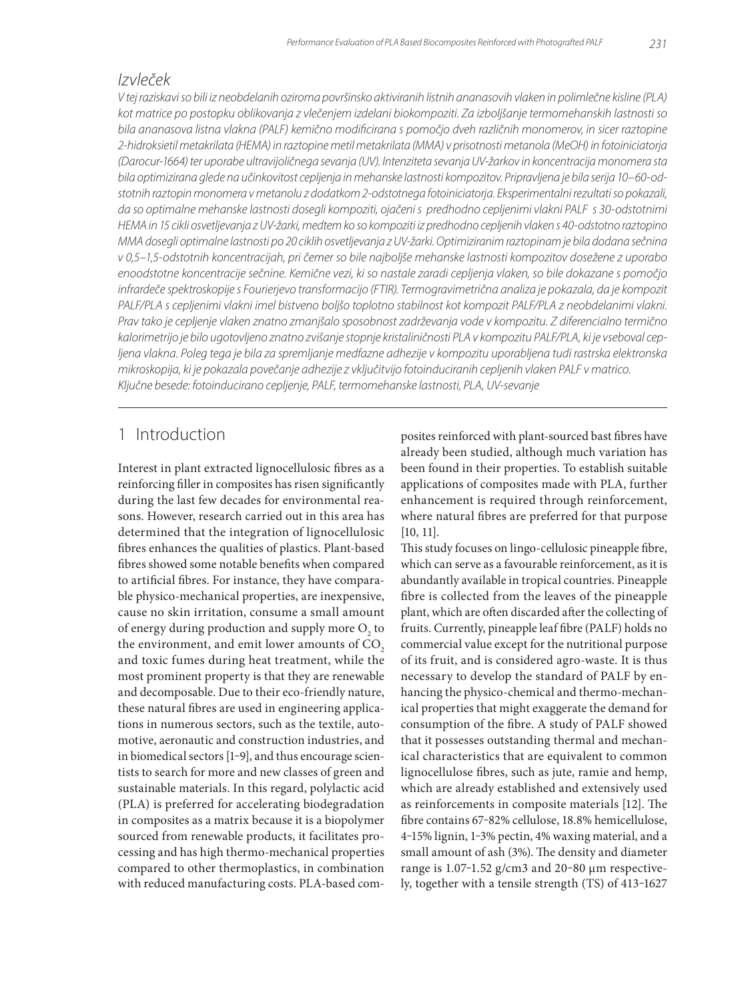# *Izvleček*

*V tej raziskavi so bili iz neobdelanih oziroma površinsko aktiviranih listnih ananasovih vlaken in polimlečne kisline (PLA) kot matrice po postopku oblikovanja z vlečenjem izdelani biokompoziti. Za izboljšanje termomehanskih lastnosti so bila ananasova listna vlakna (PALF) kemično modificirana s pomočjo dveh različnih monomerov, in sicer raztopine 2-hidroksietil metakrilata (HEMA) in raztopine metil metakrilata (MMA) v prisotnosti metanola (MeOH) in fotoiniciatorja (Darocur-1664) ter uporabe ultravijoličnega sevanja (UV). Intenziteta sevanja UV-žarkov in koncentracija monomera sta bila optimizirana glede na učinkovitost cepljenja in mehanske lastnosti kompozitov. Pripravljena je bila serija 10–60-odstotnih raztopin monomera v metanolu z dodatkom 2-odstotnega fotoiniciatorja. Eksperimentalni rezultati so pokazali, da so optimalne mehanske lastnosti dosegli kompoziti, ojačeni s predhodno cepljenimi vlakni PALF s 30-odstotnimi HEMA in 15 cikli osvetljevanja z UV-žarki, medtem ko so kompoziti iz predhodno cepljenih vlaken s 40-odstotno raztopino MMA dosegli optimalne lastnosti po 20 ciklih osvetljevanja z UV-žarki. Optimiziranim raztopinam je bila dodana sečnina v 0,5–1,5-odstotnih koncentracijah, pri čemer so bile najboljše mehanske lastnosti kompozitov dosežene z uporabo enoodstotne koncentracije sečnine. Kemične vezi, ki so nastale zaradi cepljenja vlaken, so bile dokazane s pomočjo infrardeče spektroskopije s Fourierjevo transformacijo (FTIR). Termogravimetrična analiza je pokazala, da je kompozit*  PALF/PLA s cepljenimi vlakni imel bistveno boljšo toplotno stabilnost kot kompozit PALF/PLA z neobdelanimi vlakni. *Prav tako je cepljenje vlaken znatno zmanjšalo sposobnost zadrževanja vode v kompozitu. Z diferencialno termično kalorimetrijo je bilo ugotovljeno znatno zvišanje stopnje kristaliničnosti PLA v kompozitu PALF/PLA, ki je vseboval cepljena vlakna. Poleg tega je bila za spremljanje medfazne adhezije v kompozitu uporabljena tudi rastrska elektronska mikroskopija, ki je pokazala povečanje adhezije z vključitvijo fotoinduciranih cepljenih vlaken PALF v matrico. Ključne besede: fotoinducirano cepljenje, PALF, termomehanske lastnosti, PLA, UV-sevanje*

# 1 Introduction

Interest in plant extracted lignocellulosic fibres as a reinforcing filler in composites has risen significantly during the last few decades for environmental reasons. However, research carried out in this area has determined that the integration of lignocellulosic fibres enhances the qualities of plastics. Plant-based fibres showed some notable benefits when compared to artificial fibres. For instance, they have comparable physico-mechanical properties, are inexpensive, cause no skin irritation, consume a small amount of energy during production and supply more  $\mathrm{O}_\mathrm{2}$  to the environment, and emit lower amounts of CO<sub>2</sub> and toxic fumes during heat treatment, while the most prominent property is that they are renewable and decomposable. Due to their eco-friendly nature, these natural fibres are used in engineering applications in numerous sectors, such as the textile, automotive, aeronautic and construction industries, and in biomedical sectors [1-9], and thus encourage scientists to search for more and new classes of green and sustainable materials. In this regard, polylactic acid (PLA) is preferred for accelerating biodegradation in composites as a matrix because it is a biopolymer sourced from renewable products, it facilitates processing and has high thermo-mechanical properties compared to other thermoplastics, in combination with reduced manufacturing costs. PLA-based composites reinforced with plant-sourced bast fibres have already been studied, although much variation has been found in their properties. To establish suitable applications of composites made with PLA, further enhancement is required through reinforcement, where natural fibres are preferred for that purpose [10, 11].

This study focuses on lingo-cellulosic pineapple fibre, which can serve as a favourable reinforcement, as it is abundantly available in tropical countries. Pineapple fibre is collected from the leaves of the pineapple plant, which are often discarded after the collecting of fruits. Currently, pineapple leaf fibre (PALF) holds no commercial value except for the nutritional purpose of its fruit, and is considered agro-waste. It is thus necessary to develop the standard of PALF by enhancing the physico-chemical and thermo-mechanical properties that might exaggerate the demand for consumption of the fibre. A study of PALF showed that it possesses outstanding thermal and mechanical characteristics that are equivalent to common lignocellulose fibres, such as jute, ramie and hemp, which are already established and extensively used as reinforcements in composite materials [12]. The fibre contains 67-82% cellulose, 18.8% hemicellulose, 4‒15% lignin, 1‒3% pectin, 4% waxing material, and a small amount of ash (3%). The density and diameter range is 1.07-1.52 g/cm3 and 20-80 μm respectively, together with a tensile strength (TS) of 413-1627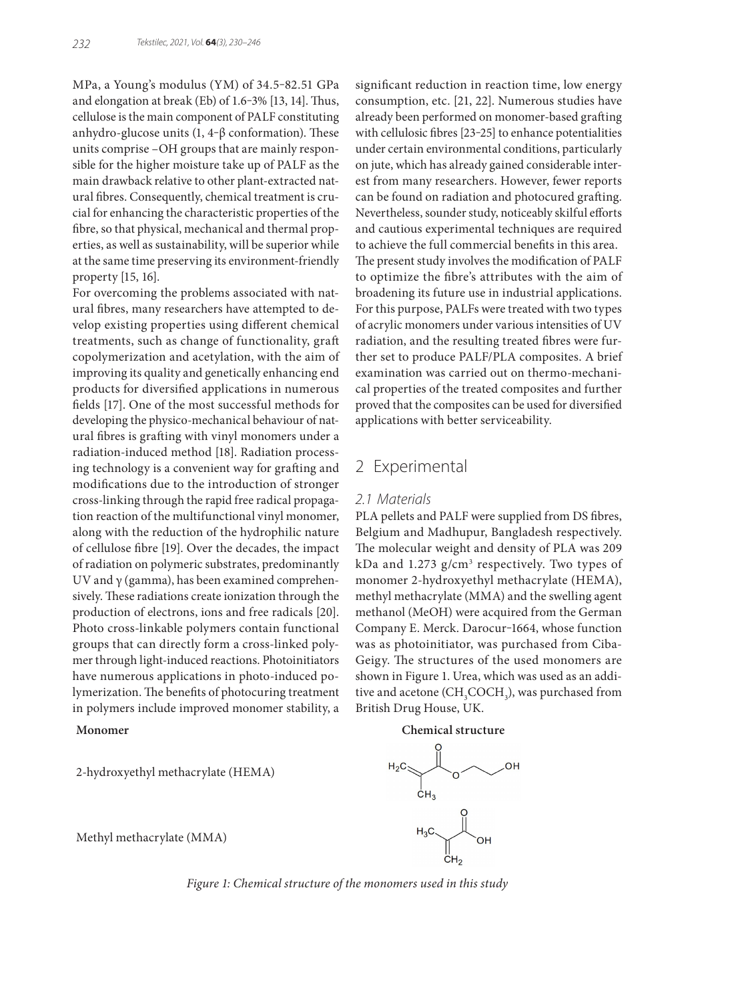MPa, a Young's modulus (YM) of 34.5-82.51 GPa and elongation at break (Eb) of 1.6-3% [13, 14]. Thus, cellulose is the main component of PALF constituting anhydro-glucose units  $(1, 4-\beta)$  conformation). These units comprise –OH groups that are mainly responsible for the higher moisture take up of PALF as the main drawback relative to other plant-extracted natural fibres. Consequently, chemical treatment is crucial for enhancing the characteristic properties of the fibre, so that physical, mechanical and thermal properties, as well as sustainability, will be superior while at the same time preserving its environment-friendly property [15, 16].

For overcoming the problems associated with natural fibres, many researchers have attempted to develop existing properties using different chemical treatments, such as change of functionality, graft copolymerization and acetylation, with the aim of improving its quality and genetically enhancing end products for diversified applications in numerous fields [17]. One of the most successful methods for developing the physico-mechanical behaviour of natural fibres is grafting with vinyl monomers under a radiation-induced method [18]. Radiation processing technology is a convenient way for grafting and modifications due to the introduction of stronger cross-linking through the rapid free radical propagation reaction of the multifunctional vinyl monomer, along with the reduction of the hydrophilic nature of cellulose fibre [19]. Over the decades, the impact of radiation on polymeric substrates, predominantly UV and  $\gamma$  (gamma), has been examined comprehensively. These radiations create ionization through the production of electrons, ions and free radicals [20]. Photo cross-linkable polymers contain functional groups that can directly form a cross-linked polymer through light-induced reactions. Photoinitiators have numerous applications in photo-induced polymerization. The benefits of photocuring treatment in polymers include improved monomer stability, a

2-hydroxyethyl methacrylate (HEMA)

significant reduction in reaction time, low energy consumption, etc. [21, 22]. Numerous studies have already been performed on monomer-based grafting with cellulosic fibres [23-25] to enhance potentialities under certain environmental conditions, particularly on jute, which has already gained considerable interest from many researchers. However, fewer reports can be found on radiation and photocured grafting. Nevertheless, sounder study, noticeably skilful efforts and cautious experimental techniques are required to achieve the full commercial benefits in this area. The present study involves the modification of PALF to optimize the fibre's attributes with the aim of broadening its future use in industrial applications. For this purpose, PALFs were treated with two types of acrylic monomers under various intensities of UV radiation, and the resulting treated fibres were further set to produce PALF/PLA composites. A brief examination was carried out on thermo-mechanical properties of the treated composites and further proved that the composites can be used for diversified applications with better serviceability.

# 2 Experimental

#### *2.1 Materials*

PLA pellets and PALF were supplied from DS fibres, Belgium and Madhupur, Bangladesh respectively. The molecular weight and density of PLA was 209 kDa and 1.273 g/cm<sup>3</sup> respectively. Two types of monomer 2-hydroxyethyl methacrylate (HEMA), methyl methacrylate (MMA) and the swelling agent methanol (MeOH) were acquired from the German Company E. Merck. Darocur-1664, whose function was as photoinitiator, was purchased from Ciba-Geigy. The structures of the used monomers are shown in Figure 1. Urea, which was used as an additive and acetone ( $\mathrm{CH_{_3}COCH_{_3}}$ ), was purchased from British Drug House, UK.

**Monomer Chemical structure**



Methyl methacrylate (MMA)

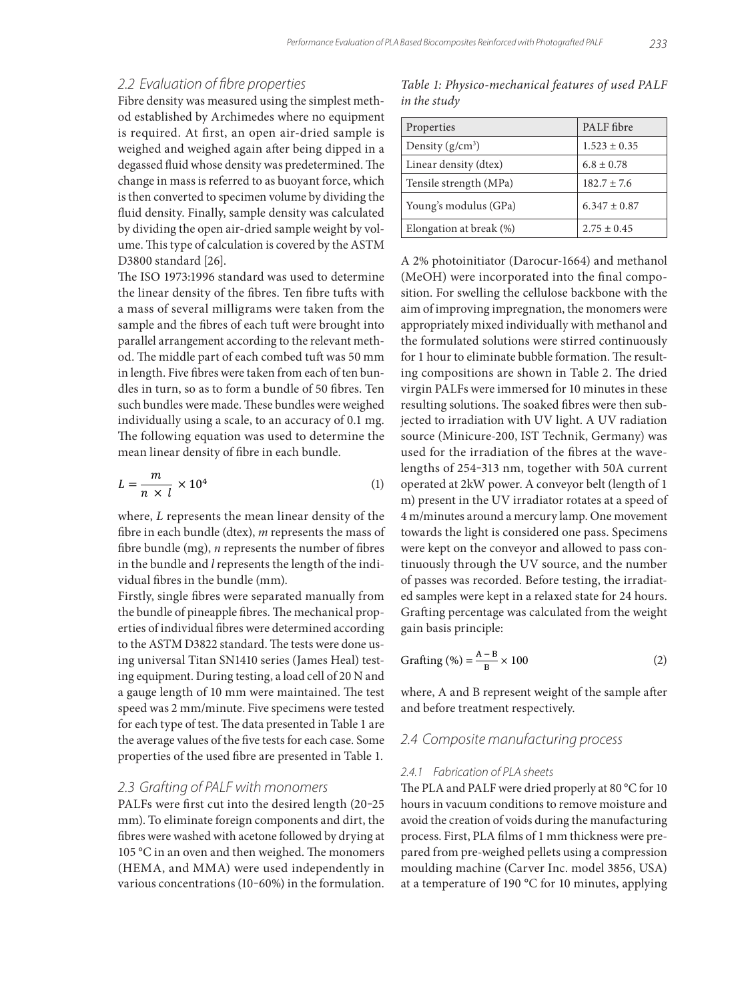#### *2.2 Evaluation of fibre properties*

Fibre density was measured using the simplest method established by Archimedes where no equipment is required. At first, an open air-dried sample is weighed and weighed again after being dipped in a degassed fluid whose density was predetermined. The change in mass is referred to as buoyant force, which is then converted to specimen volume by dividing the fluid density. Finally, sample density was calculated by dividing the open air-dried sample weight by volume. This type of calculation is covered by the ASTM D3800 standard [26].

The ISO 1973:1996 standard was used to determine the linear density of the fibres. Ten fibre tufts with a mass of several milligrams were taken from the sample and the fibres of each tuft were brought into parallel arrangement according to the relevant method. The middle part of each combed tuft was 50 mm in length. Five fibres were taken from each of ten bundles in turn, so as to form a bundle of 50 fibres. Ten such bundles were made. These bundles were weighed individually using a scale, to an accuracy of 0.1 mg. The following equation was used to determine the mean linear density of fibre in each bundle.

$$
L = \frac{m}{n \times l} \times 10^4 \tag{1}
$$

where, *L* represents the mean linear density of the fibre in each bundle (dtex), *m* represents the mass of fibre bundle (mg), *n* represents the number of fibres in the bundle and *l* represents the length of the individual fibres in the bundle (mm).

Firstly, single fibres were separated manually from the bundle of pineapple fibres. The mechanical properties of individual fibres were determined according to the ASTM D3822 standard. The tests were done using universal Titan SN1410 series (James Heal) testing equipment. During testing, a load cell of 20 N and a gauge length of 10 mm were maintained. The test speed was 2 mm/minute. Five specimens were tested for each type of test. The data presented in Table 1 are the average values of the five tests for each case. Some properties of the used fibre are presented in Table 1.

#### *2.3 Grafting of PALF with monomers*

PALFs were first cut into the desired length (20-25 mm). To eliminate foreign components and dirt, the fibres were washed with acetone followed by drying at 105 °C in an oven and then weighed. The monomers (HEMA, and MMA) were used independently in various concentrations (10-60%) in the formulation.

*Table 1: Physico-mechanical features of used PALF in the study*

| Properties              | PALF fibre       |
|-------------------------|------------------|
| Density $(g/cm^3)$      | $1.523 \pm 0.35$ |
| Linear density (dtex)   | $6.8 \pm 0.78$   |
| Tensile strength (MPa)  | $182.7 \pm 7.6$  |
| Young's modulus (GPa)   | $6.347 \pm 0.87$ |
| Elongation at break (%) | $2.75 \pm 0.45$  |

A 2% photoinitiator (Darocur-1664) and methanol (MeOH) were incorporated into the final composition. For swelling the cellulose backbone with the aim of improving impregnation, the monomers were appropriately mixed individually with methanol and the formulated solutions were stirred continuously for 1 hour to eliminate bubble formation. The resulting compositions are shown in Table 2. The dried virgin PALFs were immersed for 10 minutes in these resulting solutions. The soaked fibres were then subjected to irradiation with UV light. A UV radiation source (Minicure-200, IST Technik, Germany) was used for the irradiation of the fibres at the wavelengths of 254‒313 nm, together with 50A current operated at 2kW power. A conveyor belt (length of 1 m) present in the UV irradiator rotates at a speed of 4 m/minutes around a mercury lamp. One movement towards the light is considered one pass. Specimens were kept on the conveyor and allowed to pass continuously through the UV source, and the number of passes was recorded. Before testing, the irradiated samples were kept in a relaxed state for 24 hours. Grafting percentage was calculated from the weight gain basis principle:

$$
Grafting (\%) = \frac{A - B}{B} \times 100
$$
 (2)

where, A and B represent weight of the sample after and before treatment respectively.

#### *2.4 Composite manufacturing process*

#### *2.4.1 Fabrication of PLA sheets*

The PLA and PALF were dried properly at 80 °C for 10 hours in vacuum conditions to remove moisture and avoid the creation of voids during the manufacturing process. First, PLA films of 1 mm thickness were prepared from pre-weighed pellets using a compression moulding machine (Carver Inc. model 3856, USA) at a temperature of 190 °C for 10 minutes, applying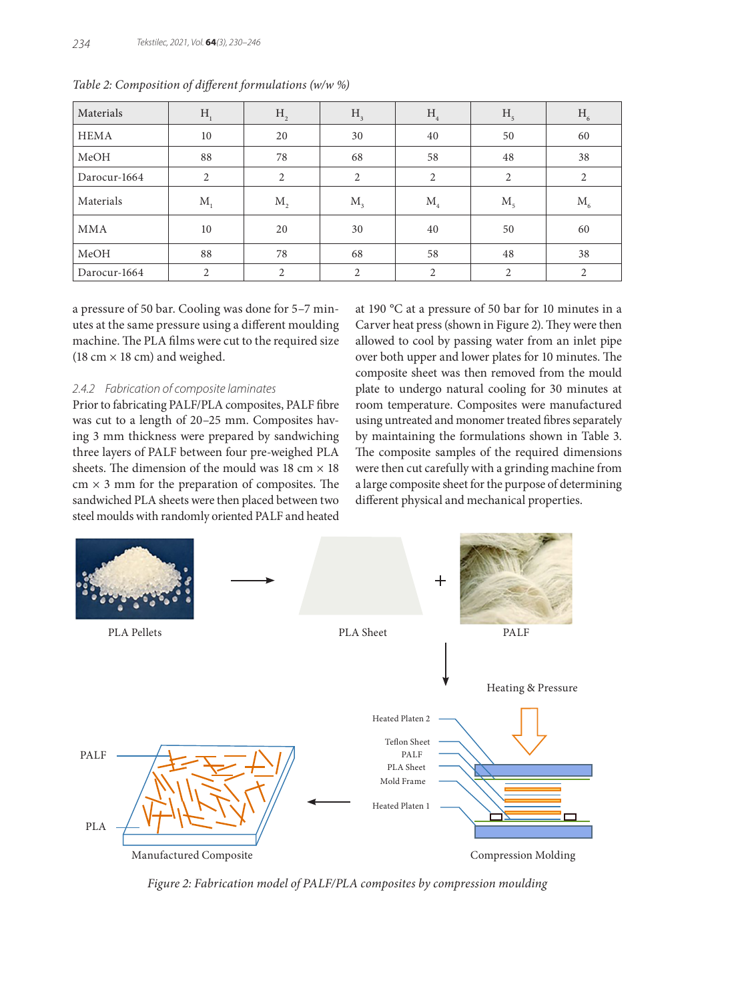| Materials    | H <sub>1</sub> | H <sub>2</sub> | H <sub>3</sub> | H <sub>4</sub>     | H <sub>5</sub> | $H_{6}$     |
|--------------|----------------|----------------|----------------|--------------------|----------------|-------------|
| HEMA         | 10             | 20             | 30             | 40                 | 50             | 60          |
| MeOH         | 88             | 78             | 68             | 58                 | 48             | 38          |
| Darocur-1664 | 2              | $\overline{2}$ | 2              | 2                  | 2              | 2           |
| Materials    | $M_{1}$        | $M_{\rm{2}}$   | $M_{\tiny 3}$  | $M_{\overline{4}}$ | M <sub>5</sub> | $M_{\rm 6}$ |
| MMA          | 10             | 20             | 30             | 40                 | 50             | 60          |
| MeOH         | 88             | 78             | 68             | 58                 | 48             | 38          |
| Darocur-1664 | 2              | $\overline{2}$ | 2              | $\overline{2}$     | 2              | 2           |

*Table 2: Composition of different formulations (w/w %)*

a pressure of 50 bar. Cooling was done for 5–7 minutes at the same pressure using a different moulding machine. The PLA films were cut to the required size (18 cm  $\times$  18 cm) and weighed.

#### *2.4.2 Fabrication of composite laminates*

Prior to fabricating PALF/PLA composites, PALF fibre was cut to a length of 20–25 mm. Composites having 3 mm thickness were prepared by sandwiching three layers of PALF between four pre-weighed PLA sheets. The dimension of the mould was 18 cm  $\times$  18  $cm \times 3$  mm for the preparation of composites. The sandwiched PLA sheets were then placed between two steel moulds with randomly oriented PALF and heated at 190 °C at a pressure of 50 bar for 10 minutes in a Carver heat press (shown in Figure 2). They were then allowed to cool by passing water from an inlet pipe over both upper and lower plates for 10 minutes. The composite sheet was then removed from the mould plate to undergo natural cooling for 30 minutes at room temperature. Composites were manufactured using untreated and monomer treated fibres separately by maintaining the formulations shown in Table 3. The composite samples of the required dimensions were then cut carefully with a grinding machine from a large composite sheet for the purpose of determining different physical and mechanical properties.



*Figure 2: Fabrication model of PALF/PLA composites by compression moulding*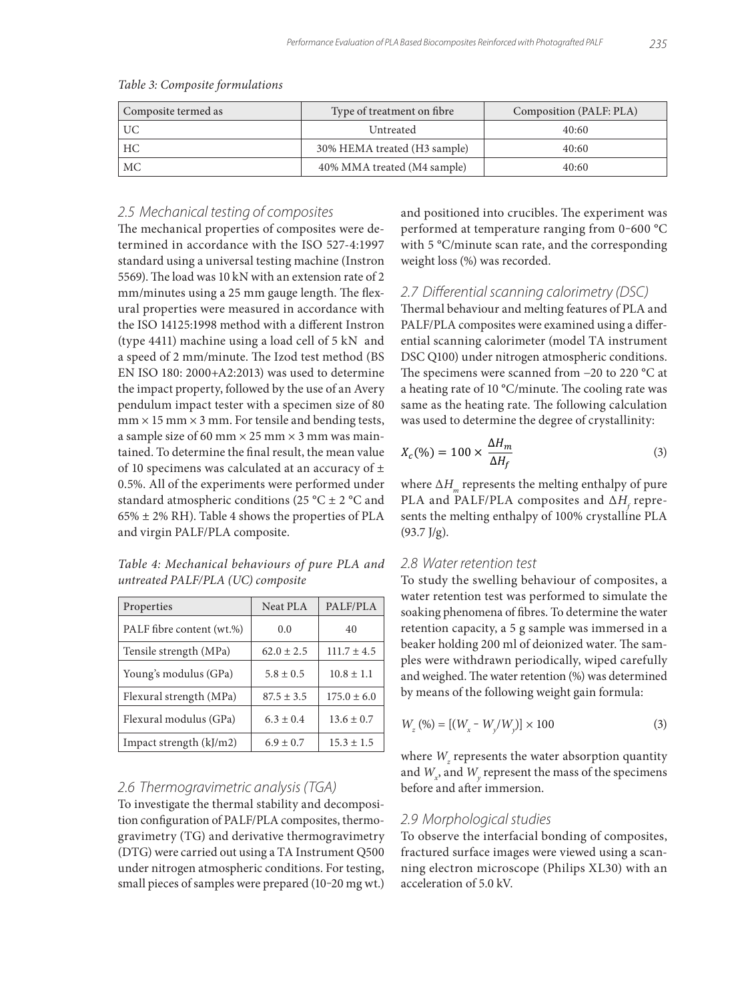| Composite termed as | Type of treatment on fibre               | Composition (PALF: PLA) |
|---------------------|------------------------------------------|-------------------------|
| UC                  | Untreated                                | 40:60                   |
| HС                  | 30% HEMA treated (H <sub>3</sub> sample) | 40:60                   |
| МC                  | 40% MMA treated (M4 sample)              | 40:60                   |

#### *Table 3: Composite formulations*

#### *2.5 Mechanical testing of composites*

The mechanical properties of composites were determined in accordance with the ISO 527-4:1997 standard using a universal testing machine (Instron 5569). The load was 10 kN with an extension rate of 2 mm/minutes using a 25 mm gauge length. The flexural properties were measured in accordance with the ISO 14125:1998 method with a different Instron (type 4411) machine using a load cell of 5 kN and a speed of 2 mm/minute. The Izod test method (BS EN ISO 180: 2000+A2:2013) was used to determine the impact property, followed by the use of an Avery pendulum impact tester with a specimen size of 80  $mm \times 15 mm \times 3 mm$ . For tensile and bending tests, a sample size of 60 mm  $\times$  25 mm  $\times$  3 mm was maintained. To determine the final result, the mean value of 10 specimens was calculated at an accuracy of  $\pm$ 0.5%. All of the experiments were performed under standard atmospheric conditions (25 °C  $\pm$  2 °C and  $65\% \pm 2\%$  RH). Table 4 shows the properties of PLA and virgin PALF/PLA composite.

*Table 4: Mechanical behaviours of pure PLA and untreated PALF/PLA (UC) composite*

| Properties                | <b>Neat PLA</b> | PALF/PLA        |
|---------------------------|-----------------|-----------------|
| PALF fibre content (wt.%) | 0.0             | 40              |
| Tensile strength (MPa)    | $62.0 \pm 2.5$  | $111.7 \pm 4.5$ |
| Young's modulus (GPa)     | $5.8 \pm 0.5$   | $10.8 \pm 1.1$  |
| Flexural strength (MPa)   | $87.5 \pm 3.5$  | $175.0 \pm 6.0$ |
| Flexural modulus (GPa)    | $6.3 \pm 0.4$   | $13.6 \pm 0.7$  |
| Impact strength (kJ/m2)   | $6.9 \pm 0.7$   | $15.3 \pm 1.5$  |

#### *2.6 Thermogravimetric analysis (TGA)*

To investigate the thermal stability and decomposition configuration of PALF/PLA composites, thermogravimetry (TG) and derivative thermogravimetry (DTG) were carried out using a TA Instrument Q500 under nitrogen atmospheric conditions. For testing, small pieces of samples were prepared (10-20 mg wt.) and positioned into crucibles. The experiment was performed at temperature ranging from 0-600 °C with 5 °C/minute scan rate, and the corresponding weight loss (%) was recorded.

#### *2.7 Differential scanning calorimetry (DSC)*

Thermal behaviour and melting features of PLA and PALF/PLA composites were examined using a differential scanning calorimeter (model TA instrument DSC Q100) under nitrogen atmospheric conditions. The specimens were scanned from −20 to 220 °C at a heating rate of 10 °C/minute. The cooling rate was same as the heating rate. The following calculation was used to determine the degree of crystallinity:

$$
X_c(\%) = 100 \times \frac{\Delta H_m}{\Delta H_f} \tag{3}
$$

where ∆*H*<sub>m</sub> represents the melting enthalpy of pure PLA and PALF/PLA composites and ∆*H<sub>f</sub>* represents the melting enthalpy of 100% crystalline PLA  $(93.7 \text{ J/g})$ .

#### *2.8 Water retention test*

To study the swelling behaviour of composites, a water retention test was performed to simulate the soaking phenomena of fibres. To determine the water retention capacity, a 5 g sample was immersed in a beaker holding 200 ml of deionized water. The samples were withdrawn periodically, wiped carefully and weighed. The water retention (%) was determined by means of the following weight gain formula:

$$
W_z (%) = [(W_x - W_y/W_y)] \times 100
$$
 (3)

where  $W_z$  represents the water absorption quantity and  $W_x$ , and  $W_y$  represent the mass of the specimens before and after immersion.

## *2.9 Morphological studies*

To observe the interfacial bonding of composites, fractured surface images were viewed using a scanning electron microscope (Philips XL30) with an acceleration of 5.0 kV.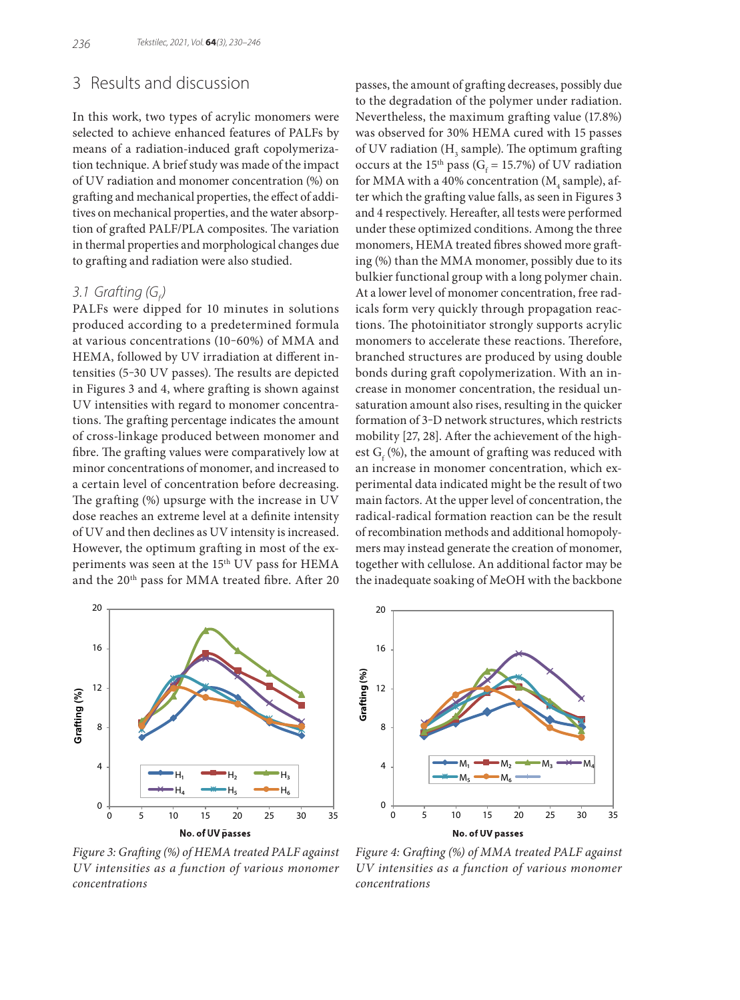# 3 Results and discussion

In this work, two types of acrylic monomers were selected to achieve enhanced features of PALFs by means of a radiation-induced graft copolymerization technique. A brief study was made of the impact of UV radiation and monomer concentration (%) on grafting and mechanical properties, the effect of additives on mechanical properties, and the water absorption of grafted PALF/PLA composites. The variation in thermal properties and morphological changes due to grafting and radiation were also studied.

# *3.1 Grafting (G<sub>f</sub>)*

PALFs were dipped for 10 minutes in solutions produced according to a predetermined formula at various concentrations (10‒60%) of MMA and HEMA, followed by UV irradiation at different intensities (5‒30 UV passes). The results are depicted in Figures 3 and 4, where grafting is shown against UV intensities with regard to monomer concentrations. The grafting percentage indicates the amount of cross-linkage produced between monomer and fibre. The grafting values were comparatively low at minor concentrations of monomer, and increased to a certain level of concentration before decreasing. The grafting (%) upsurge with the increase in UV dose reaches an extreme level at a definite intensity of UV and then declines as UV intensity is increased. However, the optimum grafting in most of the experiments was seen at the 15<sup>th</sup> UV pass for HEMA and the 20<sup>th</sup> pass for MMA treated fibre. After 20 passes, the amount of grafting decreases, possibly due to the degradation of the polymer under radiation. Nevertheless, the maximum grafting value (17.8%) was observed for 30% HEMA cured with 15 passes of UV radiation ( $H<sub>3</sub>$  sample). The optimum grafting occurs at the 15<sup>th</sup> pass (G<sub>f</sub> = 15.7%) of UV radiation for MMA with a 40% concentration ( $M_{\tiny 4}$  sample), after which the grafting value falls, as seen in Figures 3 and 4 respectively. Hereafter, all tests were performed under these optimized conditions. Among the three monomers, HEMA treated fibres showed more grafting (%) than the MMA monomer, possibly due to its bulkier functional group with a long polymer chain. At a lower level of monomer concentration, free radicals form very quickly through propagation reactions. The photoinitiator strongly supports acrylic monomers to accelerate these reactions. Therefore, branched structures are produced by using double bonds during graft copolymerization. With an increase in monomer concentration, the residual unsaturation amount also rises, resulting in the quicker formation of 3-D network structures, which restricts mobility [27, 28]. After the achievement of the highest  $G_f$  (%), the amount of grafting was reduced with an increase in monomer concentration, which experimental data indicated might be the result of two main factors. At the upper level of concentration, the radical-radical formation reaction can be the result of recombination methods and additional homopolymers may instead generate the creation of monomer, together with cellulose. An additional factor may be the inadequate soaking of MeOH with the backbone



Grafting (%) **Grafting (%)** 12 8 4  $M_1 \stackrel{\blacksquare\blacksquare\blacksquare\blacksquare}{\blacksquare} M_2 \stackrel{\blacksquare\blacksquare\blacksquare\blacksquare}{\blacksquare} M_3 \stackrel{\blacksquare\blacksquare\blacksquare\blacksquare\blacksquare}{\blacksquare} M_4$  $M_5 \longrightarrow M_6$ 0 0 5 10 15 20 25 30 35 **No. of UV Passes**

16

20

*Figure 3: Grafting (%) of HEMA treated PALF against UV intensities as a function of various monomer concentrations*

*Figure 4: Grafting (%) of MMA treated PALF against UV intensities as a function of various monomer concentrations*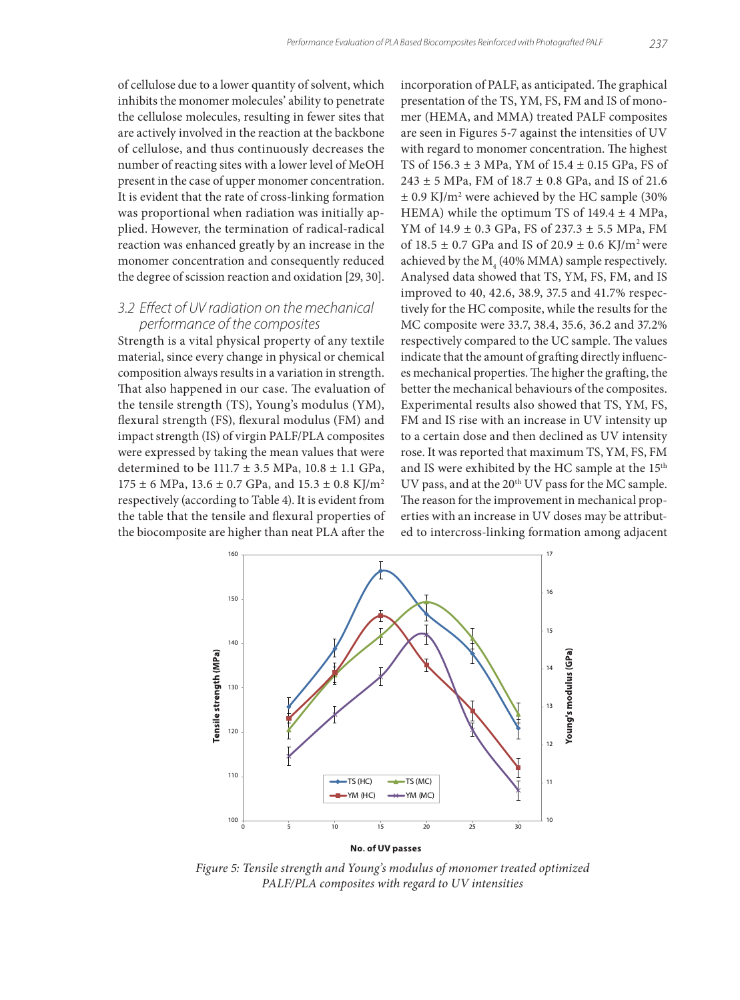of cellulose due to a lower quantity of solvent, which inhibits the monomer molecules' ability to penetrate the cellulose molecules, resulting in fewer sites that are actively involved in the reaction at the backbone of cellulose, and thus continuously decreases the number of reacting sites with a lower level of MeOH present in the case of upper monomer concentration. It is evident that the rate of cross-linking formation was proportional when radiation was initially applied. However, the termination of radical-radical reaction was enhanced greatly by an increase in the monomer concentration and consequently reduced the degree of scission reaction and oxidation [29, 30].

#### *3.2 Effect of UV radiation on the mechanical performance of the composites*

Strength is a vital physical property of any textile material, since every change in physical or chemical composition always results in a variation in strength. That also happened in our case. The evaluation of the tensile strength (TS), Young's modulus (YM), flexural strength (FS), flexural modulus (FM) and impact strength (IS) of virgin PALF/PLA composites were expressed by taking the mean values that were determined to be  $111.7 \pm 3.5$  MPa,  $10.8 \pm 1.1$  GPa,  $175 \pm 6$  MPa,  $13.6 \pm 0.7$  GPa, and  $15.3 \pm 0.8$  KJ/m<sup>2</sup> respectively (according to Table 4). It is evident from the table that the tensile and flexural properties of the biocomposite are higher than neat PLA after the

incorporation of PALF, as anticipated. The graphical presentation of the TS, YM, FS, FM and IS of monomer (HEMA, and MMA) treated PALF composites are seen in Figures 5-7 against the intensities of UV with regard to monomer concentration. The highest TS of 156.3 ± 3 MPa, YM of 15.4 ± 0.15 GPa, FS of  $243 \pm 5$  MPa, FM of  $18.7 \pm 0.8$  GPa, and IS of 21.6  $\pm$  0.9 KJ/m<sup>2</sup> were achieved by the HC sample (30%) HEMA) while the optimum TS of  $149.4 \pm 4$  MPa, YM of 14.9 ± 0.3 GPa, FS of 237.3 ± 5.5 MPa, FM of  $18.5 \pm 0.7$  GPa and IS of  $20.9 \pm 0.6$  KJ/m<sup>2</sup> were achieved by the  $M<sub>4</sub>$  (40% MMA) sample respectively. Analysed data showed that TS, YM, FS, FM, and IS improved to 40, 42.6, 38.9, 37.5 and 41.7% respectively for the HC composite, while the results for the MC composite were 33.7, 38.4, 35.6, 36.2 and 37.2% respectively compared to the UC sample. The values indicate that the amount of grafting directly influences mechanical properties. The higher the grafting, the better the mechanical behaviours of the composites. Experimental results also showed that TS, YM, FS, FM and IS rise with an increase in UV intensity up to a certain dose and then declined as UV intensity rose. It was reported that maximum TS, YM, FS, FM and IS were exhibited by the HC sample at the 15th UV pass, and at the 20<sup>th</sup> UV pass for the MC sample. The reason for the improvement in mechanical properties with an increase in UV doses may be attributed to intercross-linking formation among adjacent



*Figure 5: Tensile strength and Young's modulus of monomer treated optimized PALF/PLA composites with regard to UV intensities*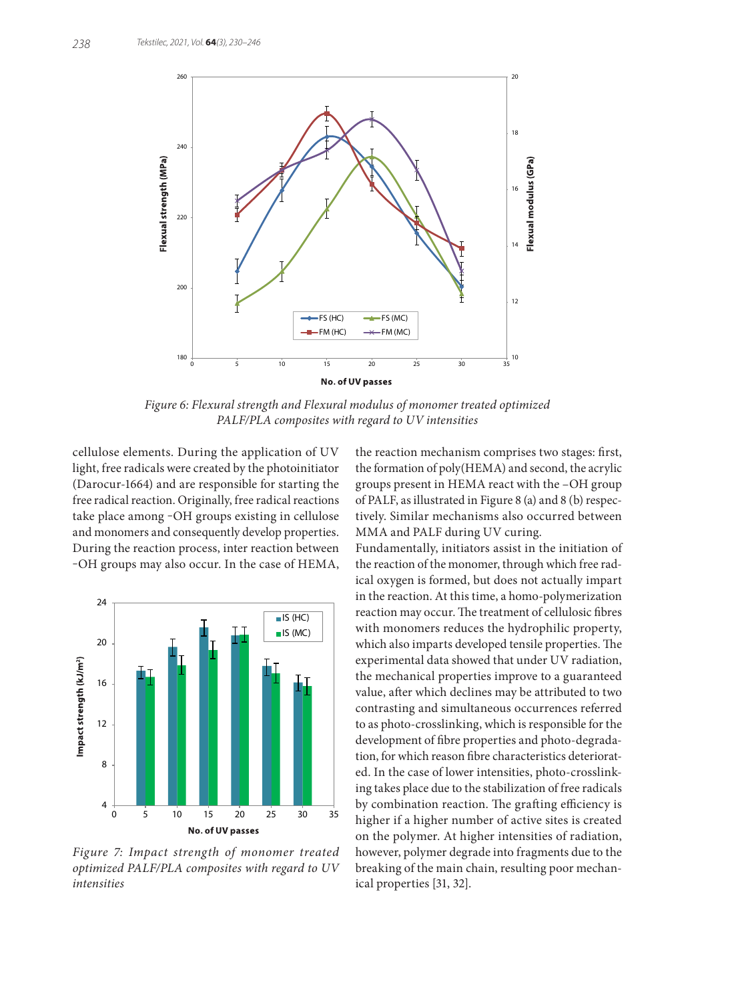

*Figure 6: Flexural strength and Flexural modulus of monomer treated optimized PALF/PLA composites with regard to UV intensities*

cellulose elements. During the application of UV light, free radicals were created by the photoinitiator (Darocur-1664) and are responsible for starting the free radical reaction. Originally, free radical reactions take place among ‒OH groups existing in cellulose and monomers and consequently develop properties. During the reaction process, inter reaction between ‒OH groups may also occur. In the case of HEMA,



*Figure 7: Impact strength of monomer treated optimized PALF/PLA composites with regard to UV intensities*

the reaction mechanism comprises two stages: first, the formation of poly(HEMA) and second, the acrylic groups present in HEMA react with the –OH group of PALF, as illustrated in Figure 8 (a) and 8 (b) respectively. Similar mechanisms also occurred between MMA and PALF during UV curing.

Fundamentally, initiators assist in the initiation of the reaction of the monomer, through which free radical oxygen is formed, but does not actually impart in the reaction. At this time, a homo-polymerization reaction may occur. The treatment of cellulosic fibres with monomers reduces the hydrophilic property, which also imparts developed tensile properties. The experimental data showed that under UV radiation, the mechanical properties improve to a guaranteed value, after which declines may be attributed to two contrasting and simultaneous occurrences referred to as photo-crosslinking, which is responsible for the development of fibre properties and photo-degradation, for which reason fibre characteristics deteriorated. In the case of lower intensities, photo-crosslinking takes place due to the stabilization of free radicals by combination reaction. The grafting efficiency is higher if a higher number of active sites is created on the polymer. At higher intensities of radiation, however, polymer degrade into fragments due to the breaking of the main chain, resulting poor mechanical properties [31, 32].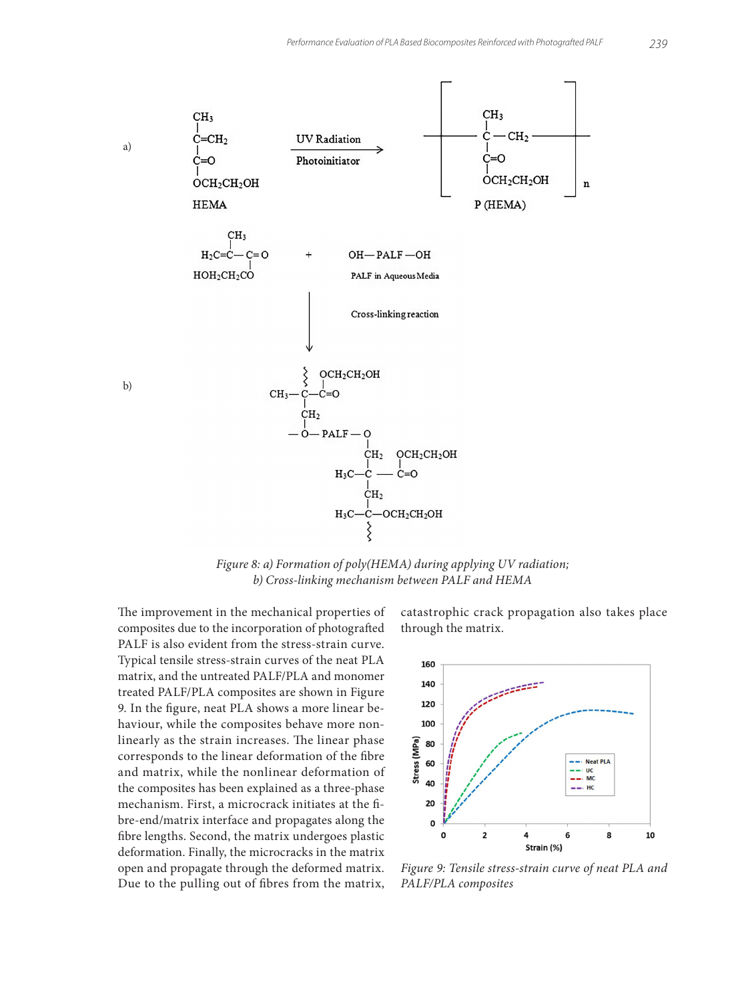

*Figure 8: a) Formation of poly(HEMA) during applying UV radiation; b) Cross-linking mechanism between PALF and HEMA*

The improvement in the mechanical properties of composites due to the incorporation of photografted PALF is also evident from the stress-strain curve. Typical tensile stress-strain curves of the neat PLA matrix, and the untreated PALF/PLA and monomer treated PALF/PLA composites are shown in Figure 9. In the figure, neat PLA shows a more linear behaviour, while the composites behave more nonlinearly as the strain increases. The linear phase corresponds to the linear deformation of the fibre and matrix, while the nonlinear deformation of the composites has been explained as a three-phase mechanism. First, a microcrack initiates at the fibre-end/matrix interface and propagates along the fibre lengths. Second, the matrix undergoes plastic deformation. Finally, the microcracks in the matrix open and propagate through the deformed matrix. Due to the pulling out of fibres from the matrix,

catastrophic crack propagation also takes place through the matrix.



*Figure 9: Tensile stress-strain curve of neat PLA and PALF/PLA composites*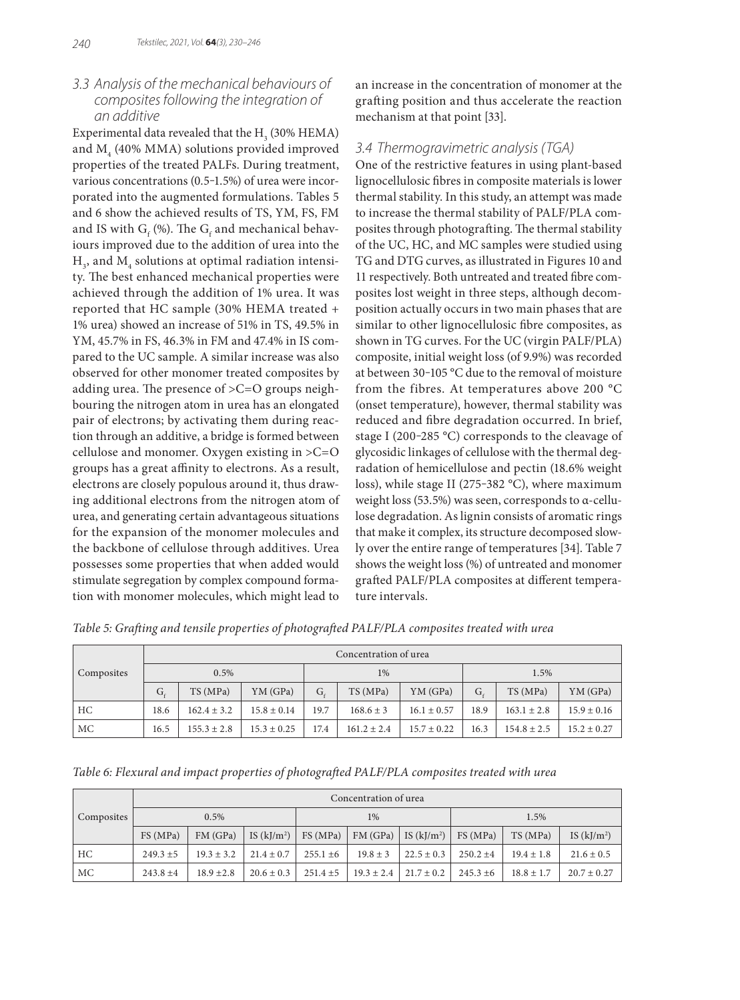# *3.3 Analysis of the mechanical behaviours of composites following the integration of an additive*

Experimental data revealed that the  $\mathrm{H}_\mathrm{_{3}}$  (30% HEMA) and  $\mathrm{M}_4$  (40% MMA) solutions provided improved properties of the treated PALFs. During treatment, various concentrations (0.5-1.5%) of urea were incorporated into the augmented formulations. Tables 5 and 6 show the achieved results of TS, YM, FS, FM and IS with  $\mathrm{G} _{_{\mathrm{f}}}$  (%). The  $\mathrm{G} _{_{\mathrm{f}}}$  and mechanical behaviours improved due to the addition of urea into the  $\mathrm{H}_{_{3}}$ , and  $\mathrm{M}_{_{4}}$  solutions at optimal radiation intensity. The best enhanced mechanical properties were achieved through the addition of 1% urea. It was reported that HC sample (30% HEMA treated + 1% urea) showed an increase of 51% in TS, 49.5% in YM, 45.7% in FS, 46.3% in FM and 47.4% in IS compared to the UC sample. A similar increase was also observed for other monomer treated composites by adding urea. The presence of >C=O groups neighbouring the nitrogen atom in urea has an elongated pair of electrons; by activating them during reaction through an additive, a bridge is formed between cellulose and monomer. Oxygen existing in >C=O groups has a great affinity to electrons. As a result, electrons are closely populous around it, thus drawing additional electrons from the nitrogen atom of urea, and generating certain advantageous situations for the expansion of the monomer molecules and the backbone of cellulose through additives. Urea possesses some properties that when added would stimulate segregation by complex compound formation with monomer molecules, which might lead to

an increase in the concentration of monomer at the grafting position and thus accelerate the reaction mechanism at that point [33].

# *3.4 Thermogravimetric analysis (TGA)*

One of the restrictive features in using plant-based lignocellulosic fibres in composite materials is lower thermal stability. In this study, an attempt was made to increase the thermal stability of PALF/PLA composites through photografting. The thermal stability of the UC, HC, and MC samples were studied using TG and DTG curves, as illustrated in Figures 10 and 11 respectively. Both untreated and treated fibre composites lost weight in three steps, although decomposition actually occurs in two main phases that are similar to other lignocellulosic fibre composites, as shown in TG curves. For the UC (virgin PALF/PLA) composite, initial weight loss (of 9.9%) was recorded at between 30-105 °C due to the removal of moisture from the fibres. At temperatures above 200 °C (onset temperature), however, thermal stability was reduced and fibre degradation occurred. In brief, stage I (200-285 °C) corresponds to the cleavage of glycosidic linkages of cellulose with the thermal degradation of hemicellulose and pectin (18.6% weight loss), while stage II (275-382 °C), where maximum weight loss (53.5%) was seen, corresponds to α-cellulose degradation. As lignin consists of aromatic rings that make it complex, its structure decomposed slowly over the entire range of temperatures [34]. Table 7 shows the weight loss (%) of untreated and monomer grafted PALF/PLA composites at different temperature intervals.

*Table 5: Grafting and tensile properties of photografted PALF/PLA composites treated with urea*

|            | Concentration of urea |                 |                 |         |                 |                 |      |                 |                 |
|------------|-----------------------|-----------------|-----------------|---------|-----------------|-----------------|------|-----------------|-----------------|
| Composites | 0.5%                  |                 |                 | 1%      |                 |                 | 1.5% |                 |                 |
|            | G,                    | TS (MPa)        | YM (GPa)        | $G_{c}$ | TS(MPa)         | YM (GPa)        | G,   | TS (MPa)        | YM (GPa)        |
| HC         | 18.6                  | $162.4 \pm 3.2$ | $15.8 \pm 0.14$ | 19.7    | $168.6 \pm 3$   | $16.1 \pm 0.57$ | 18.9 | $163.1 \pm 2.8$ | $15.9 \pm 0.16$ |
| МC         | 16.5                  | $155.3 \pm 2.8$ | $15.3 \pm 0.25$ | 17.4    | $161.2 \pm 2.4$ | $15.7 \pm 0.22$ | 16.3 | $154.8 \pm 2.5$ | $15.2 \pm 0.27$ |

*Table 6: Flexural and impact properties of photografted PALF/PLA composites treated with urea*

|            | Concentration of urea |              |                |               |                |                |             |                |                |
|------------|-----------------------|--------------|----------------|---------------|----------------|----------------|-------------|----------------|----------------|
| Composites | 0.5%                  |              |                | 1%            |                |                | 1.5%        |                |                |
|            | FS(MPa)               | FM(GPa)      | IS $(kJ/m^2)$  | FS(MPa)       | FM(GPa)        | IS $(kJ/m2)$   | FS(MPa)     | TS(MPa)        | IS $(kJ/m^2)$  |
| HC         | $249.3 \pm 5$         | $19.3 + 3.2$ | $21.4 \pm 0.7$ | $255.1 + 6$   | $19.8 \pm 3$   | $22.5 \pm 0.3$ | $250.2 +4$  | $19.4 \pm 1.8$ | $21.6 \pm 0.5$ |
| МC         | $243.8 + 4$           | $18.9 + 2.8$ | $20.6 \pm 0.3$ | $251.4 \pm 5$ | $19.3 \pm 2.4$ | $21.7 \pm 0.2$ | $245.3 + 6$ | $18.8 \pm 1.7$ | $20.7 + 0.27$  |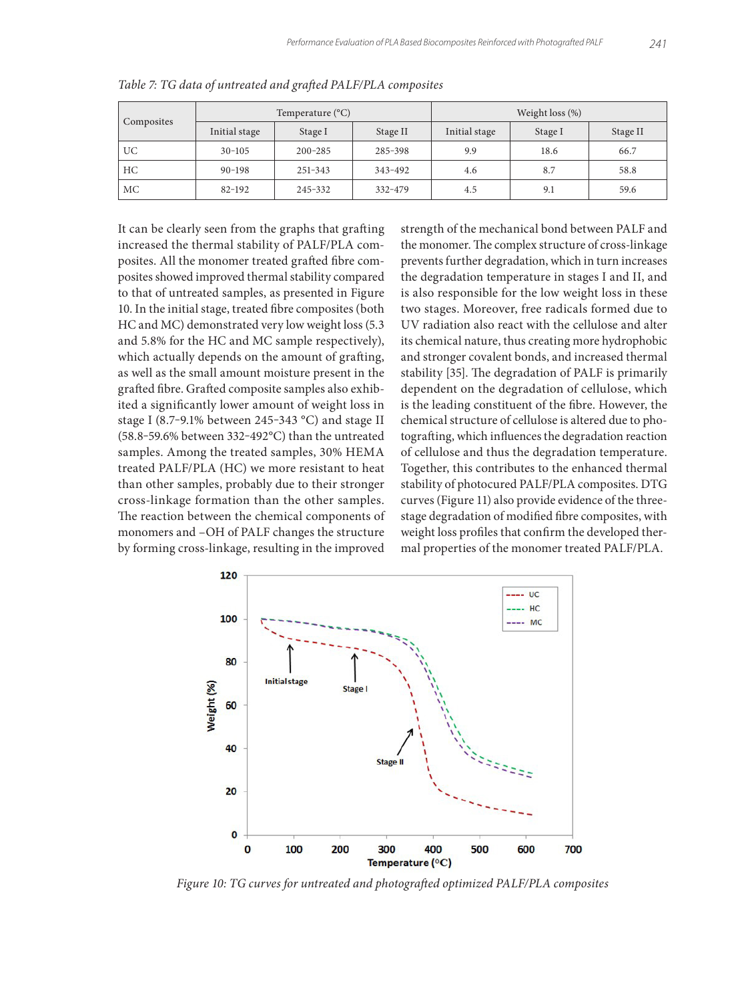|            |               | Temperature $(^{\circ}C)$ |          | Weight loss $(\%)$ |         |          |  |
|------------|---------------|---------------------------|----------|--------------------|---------|----------|--|
| Composites | Initial stage | Stage I                   | Stage II | Initial stage      | Stage I | Stage II |  |
| UC         | $30 - 105$    | $200 - 285$               | 285-398  | 9.9                | 18.6    | 66.7     |  |
| HC.        | $90 - 198$    | 251-343                   | 343-492  | 4.6                | 8.7     | 58.8     |  |
| МC         | $82 - 192$    | 245-332                   | 332-479  | 4.5                | 9.1     | 59.6     |  |

*Table 7: TG data of untreated and grafted PALF/PLA composites*

It can be clearly seen from the graphs that grafting increased the thermal stability of PALF/PLA composites. All the monomer treated grafted fibre composites showed improved thermal stability compared to that of untreated samples, as presented in Figure 10. In the initial stage, treated fibre composites (both HC and MC) demonstrated very low weight loss (5.3 and 5.8% for the HC and MC sample respectively), which actually depends on the amount of grafting, as well as the small amount moisture present in the grafted fibre. Grafted composite samples also exhibited a significantly lower amount of weight loss in stage I (8.7-9.1% between 245-343 °C) and stage II (58.8-59.6% between 332-492 $^{\circ}$ C) than the untreated samples. Among the treated samples, 30% HEMA treated PALF/PLA (HC) we more resistant to heat than other samples, probably due to their stronger cross-linkage formation than the other samples. The reaction between the chemical components of monomers and –OH of PALF changes the structure by forming cross-linkage, resulting in the improved

strength of the mechanical bond between PALF and the monomer. The complex structure of cross-linkage prevents further degradation, which in turn increases the degradation temperature in stages I and II, and is also responsible for the low weight loss in these two stages. Moreover, free radicals formed due to UV radiation also react with the cellulose and alter its chemical nature, thus creating more hydrophobic and stronger covalent bonds, and increased thermal stability [35]. The degradation of PALF is primarily dependent on the degradation of cellulose, which is the leading constituent of the fibre. However, the chemical structure of cellulose is altered due to photografting, which influences the degradation reaction of cellulose and thus the degradation temperature. Together, this contributes to the enhanced thermal stability of photocured PALF/PLA composites. DTG curves (Figure 11) also provide evidence of the threestage degradation of modified fibre composites, with weight loss profiles that confirm the developed thermal properties of the monomer treated PALF/PLA.



*Figure 10: TG curves for untreated and photografted optimized PALF/PLA composites*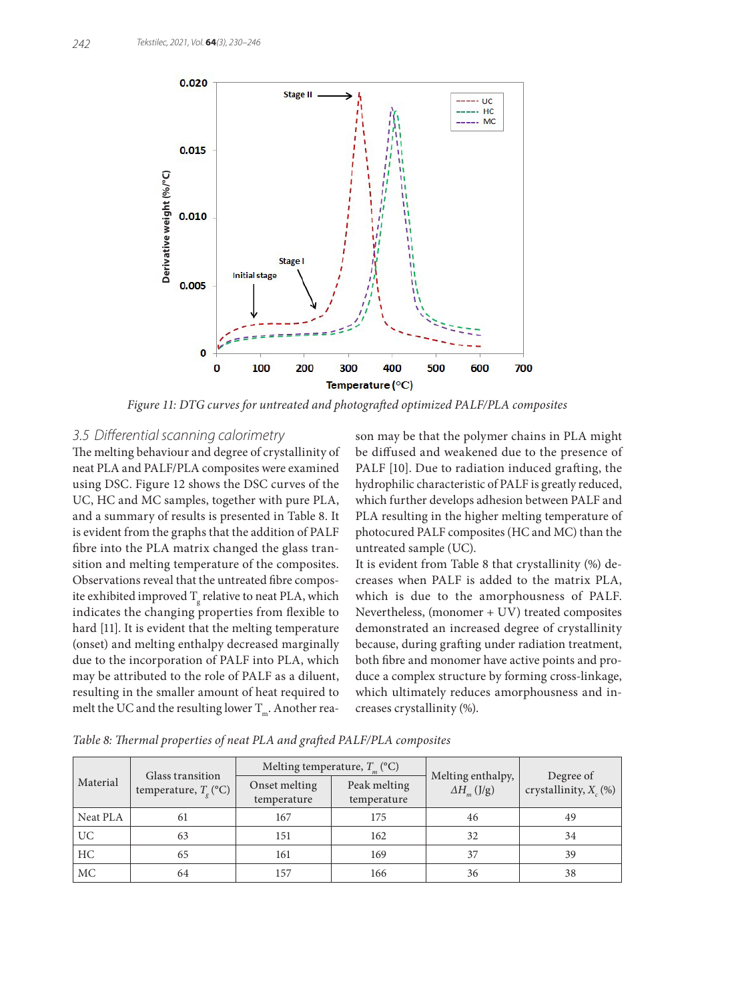

*Figure 11: DTG curves for untreated and photografted optimized PALF/PLA composites*

## *3.5 Differential scanning calorimetry*

The melting behaviour and degree of crystallinity of neat PLA and PALF/PLA composites were examined using DSC. Figure 12 shows the DSC curves of the UC, HC and MC samples, together with pure PLA, and a summary of results is presented in Table 8. It is evident from the graphs that the addition of PALF fibre into the PLA matrix changed the glass transition and melting temperature of the composites. Observations reveal that the untreated fibre composite exhibited improved  $\mathrm{T_g}$  relative to neat PLA, which indicates the changing properties from flexible to hard [11]. It is evident that the melting temperature (onset) and melting enthalpy decreased marginally due to the incorporation of PALF into PLA, which may be attributed to the role of PALF as a diluent, resulting in the smaller amount of heat required to melt the UC and the resulting lower  $T_m$ . Another reason may be that the polymer chains in PLA might be diffused and weakened due to the presence of PALF [10]. Due to radiation induced grafting, the hydrophilic characteristic of PALF is greatly reduced, which further develops adhesion between PALF and PLA resulting in the higher melting temperature of photocured PALF composites (HC and MC) than the untreated sample (UC).

It is evident from Table 8 that crystallinity (%) decreases when PALF is added to the matrix PLA, which is due to the amorphousness of PALF. Nevertheless, (monomer + UV) treated composites demonstrated an increased degree of crystallinity because, during grafting under radiation treatment, both fibre and monomer have active points and produce a complex structure by forming cross-linkage, which ultimately reduces amorphousness and increases crystallinity (%).

|                 |                                             |                                                             | Melting temperature, $T_m$ (°C) |                                           |                                       |  |
|-----------------|---------------------------------------------|-------------------------------------------------------------|---------------------------------|-------------------------------------------|---------------------------------------|--|
| Material        | Glass transition<br>temperature, $T_c$ (°C) | Peak melting<br>Onset melting<br>temperature<br>temperature |                                 | Melting enthalpy,<br>$\Delta H_{m}$ (J/g) | Degree of<br>crystallinity, $X_c$ (%) |  |
| Neat PLA        | 61                                          | 167                                                         | 175                             | 46                                        | 49                                    |  |
| UC <sub>1</sub> | 63                                          | 151                                                         | 162                             | 32                                        | 34                                    |  |
| HC              | 65                                          | 161                                                         | 169                             | 37                                        | 39                                    |  |
| MC              | 64                                          | 157                                                         | 166                             | 36                                        | 38                                    |  |

*Table 8: Thermal properties of neat PLA and grafted PALF/PLA composites*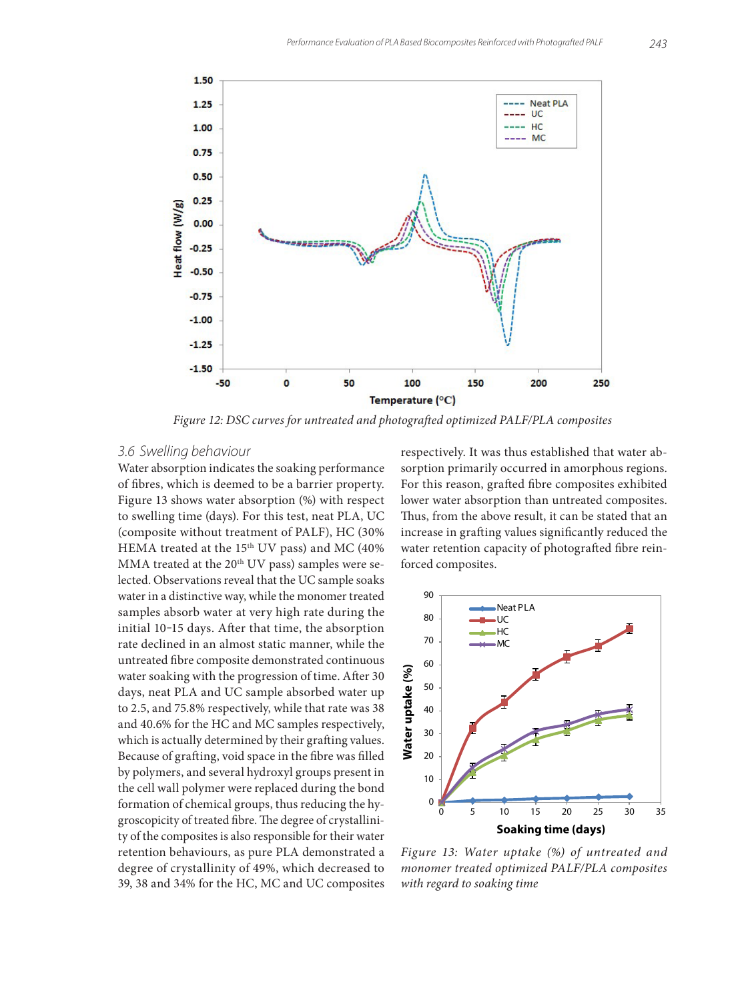

*Figure 12: DSC curves for untreated and photografted optimized PALF/PLA composites*

#### *3.6 Swelling behaviour*

Water absorption indicates the soaking performance of fibres, which is deemed to be a barrier property. Figure 13 shows water absorption (%) with respect to swelling time (days). For this test, neat PLA, UC (composite without treatment of PALF), HC (30% HEMA treated at the 15<sup>th</sup> UV pass) and MC (40% MMA treated at the  $20<sup>th</sup>$  UV pass) samples were selected. Observations reveal that the UC sample soaks water in a distinctive way, while the monomer treated samples absorb water at very high rate during the initial 10-15 days. After that time, the absorption rate declined in an almost static manner, while the untreated fibre composite demonstrated continuous water soaking with the progression of time. After 30 days, neat PLA and UC sample absorbed water up to 2.5, and 75.8% respectively, while that rate was 38 and 40.6% for the HC and MC samples respectively, which is actually determined by their grafting values. Because of grafting, void space in the fibre was filled by polymers, and several hydroxyl groups present in the cell wall polymer were replaced during the bond formation of chemical groups, thus reducing the hygroscopicity of treated fibre. The degree of crystallinity of the composites is also responsible for their water retention behaviours, as pure PLA demonstrated a degree of crystallinity of 49%, which decreased to 39, 38 and 34% for the HC, MC and UC composites respectively. It was thus established that water absorption primarily occurred in amorphous regions. For this reason, grafted fibre composites exhibited lower water absorption than untreated composites. Thus, from the above result, it can be stated that an increase in grafting values significantly reduced the water retention capacity of photografted fibre reinforced composites.



*Figure 13: Water uptake (%) of untreated and monomer treated optimized PALF/PLA composites with regard to soaking time*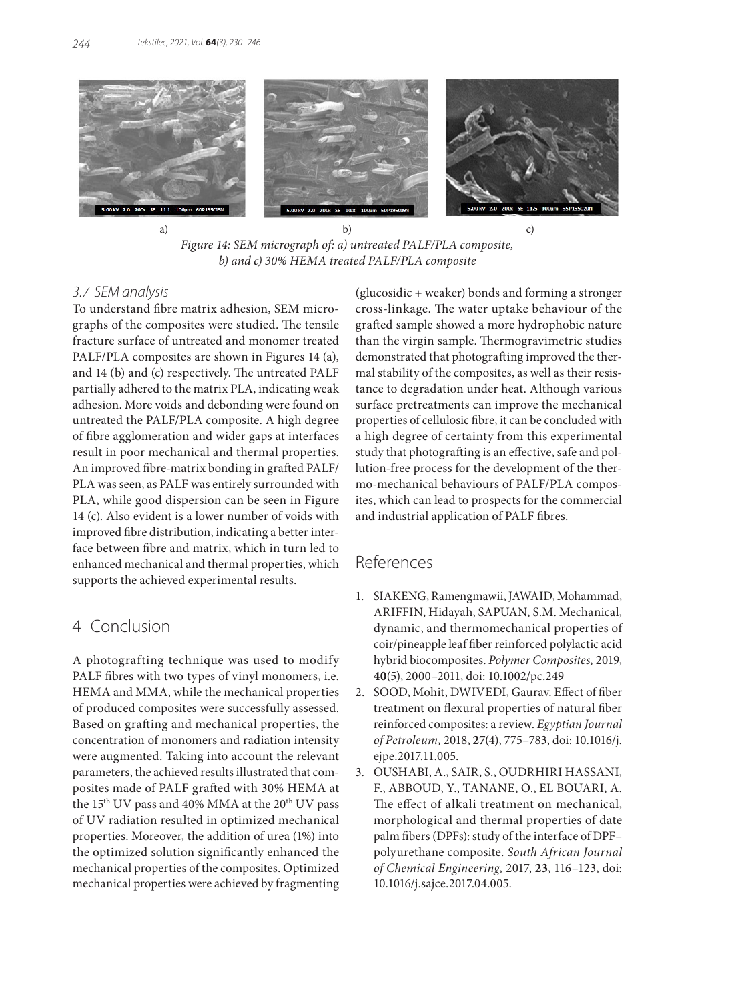

a) b) c) *Figure 14: SEM micrograph of: a) untreated PALF/PLA composite, b) and c) 30% HEMA treated PALF/PLA composite*

#### *3.7 SEM analysis*

To understand fibre matrix adhesion, SEM micrographs of the composites were studied. The tensile fracture surface of untreated and monomer treated PALF/PLA composites are shown in Figures 14 (a), and 14 (b) and (c) respectively. The untreated PALF partially adhered to the matrix PLA, indicating weak adhesion. More voids and debonding were found on untreated the PALF/PLA composite. A high degree of fibre agglomeration and wider gaps at interfaces result in poor mechanical and thermal properties. An improved fibre-matrix bonding in grafted PALF/ PLA was seen, as PALF was entirely surrounded with PLA, while good dispersion can be seen in Figure 14 (c). Also evident is a lower number of voids with improved fibre distribution, indicating a better interface between fibre and matrix, which in turn led to enhanced mechanical and thermal properties, which supports the achieved experimental results.

# 4 Conclusion

A photografting technique was used to modify PALF fibres with two types of vinyl monomers, i.e. HEMA and MMA, while the mechanical properties of produced composites were successfully assessed. Based on grafting and mechanical properties, the concentration of monomers and radiation intensity were augmented. Taking into account the relevant parameters, the achieved results illustrated that composites made of PALF grafted with 30% HEMA at the 15<sup>th</sup> UV pass and 40% MMA at the 20<sup>th</sup> UV pass of UV radiation resulted in optimized mechanical properties. Moreover, the addition of urea (1%) into the optimized solution significantly enhanced the mechanical properties of the composites. Optimized mechanical properties were achieved by fragmenting

(glucosidic + weaker) bonds and forming a stronger cross-linkage. The water uptake behaviour of the grafted sample showed a more hydrophobic nature than the virgin sample. Thermogravimetric studies demonstrated that photografting improved the thermal stability of the composites, as well as their resistance to degradation under heat. Although various surface pretreatments can improve the mechanical properties of cellulosic fibre, it can be concluded with a high degree of certainty from this experimental study that photografting is an effective, safe and pollution-free process for the development of the thermo-mechanical behaviours of PALF/PLA composites, which can lead to prospects for the commercial and industrial application of PALF fibres.

# References

- 1. SIAKENG, Ramengmawii, JAWAID, Mohammad, ARIFFIN, Hidayah, SAPUAN, S.M. Mechanical, dynamic, and thermomechanical properties of coir/pineapple leaf fiber reinforced polylactic acid hybrid biocomposites. *Polymer Composites,* 2019, **40**(5), 2000–2011, doi: 10.1002/pc.249
- 2. SOOD, Mohit, DWIVEDI, Gaurav. Effect of fiber treatment on flexural properties of natural fiber reinforced composites: a review. *Egyptian Journal of Petroleum,* 2018, **27**(4), 775–783, doi: 10.1016/j. ejpe.2017.11.005.
- 3. OUSHABI, A., SAIR, S., OUDRHIRI HASSANI, F., ABBOUD, Y., TANANE, O., EL BOUARI, A. The effect of alkali treatment on mechanical, morphological and thermal properties of date palm fibers (DPFs): study of the interface of DPF– polyurethane composite. *South African Journal of Chemical Engineering,* 2017, **23**, 116–123, doi: 10.1016/j.sajce.2017.04.005.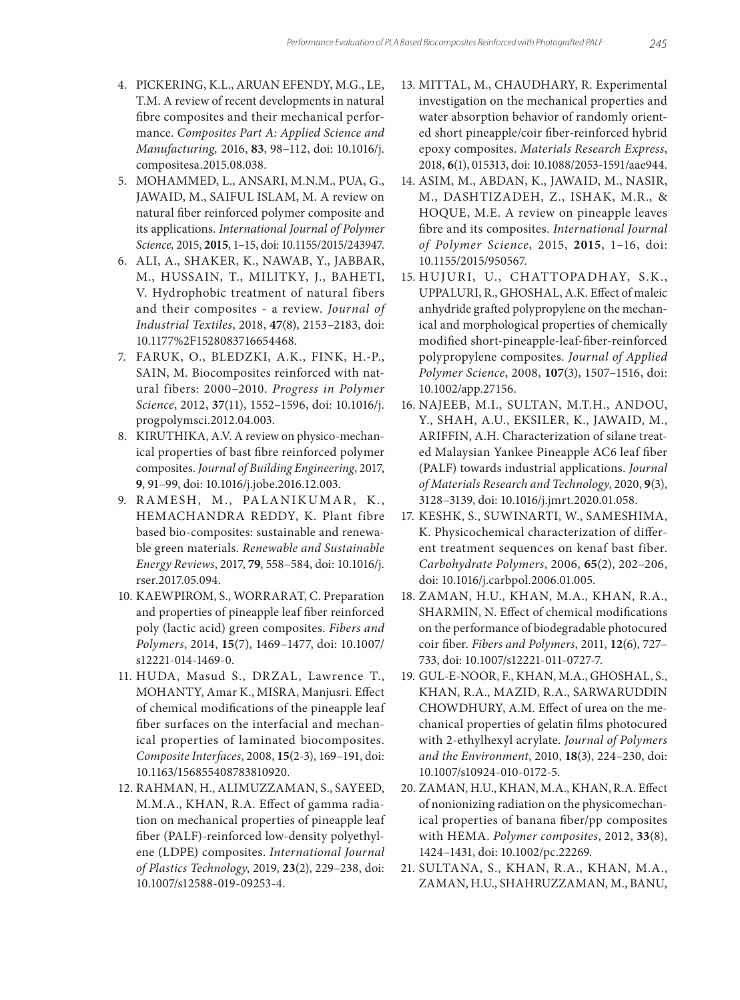- 4. PICKERING, K.L., ARUAN EFENDY, M.G., LE, T.M. A review of recent developments in natural fibre composites and their mechanical performance. *Composites Part A: Applied Science and Manufacturing,* 2016, **83**, 98–112, doi: 10.1016/j. compositesa.2015.08.038.
- 5. MOHAMMED, L., ANSARI, M.N.M., PUA, G., JAWAID, M., SAIFUL ISLAM, M. A review on natural fiber reinforced polymer composite and its applications. *International Journal of Polymer Science,* 2015, **2015**, 1–15, doi: 10.1155/2015/243947.
- 6. ALI, A., SHAKER, K., NAWAB, Y., JABBAR, M., HUSSAIN, T., MILITKY, J., BAHETI, V. Hydrophobic treatment of natural fibers and their composites - a review. *Journal of Industrial Textiles*, 2018, **47**(8), 2153–2183, doi: 10.1177%2F1528083716654468.
- 7. FARUK, O., BLEDZKI, A.K., FINK, H.-P., SAIN, M. Biocomposites reinforced with natural fibers: 2000–2010. *Progress in Polymer Science*, 2012, **37**(11), 1552–1596, doi: 10.1016/j. progpolymsci.2012.04.003.
- 8. KIRUTHIKA, A.V. A review on physico-mechanical properties of bast fibre reinforced polymer composites. *Journal of Building Engineering*, 2017, **9**, 91–99, doi: 10.1016/j.jobe.2016.12.003.
- 9. RAMESH, M., PALANIKUMAR, K., HEMACHANDRA REDDY, K. Plant fibre based bio-composites: sustainable and renewable green materials. *Renewable and Sustainable Energy Reviews*, 2017, **79**, 558–584, doi: 10.1016/j. rser.2017.05.094.
- 10. KAEWPIROM, S., WORRARAT, C. Preparation and properties of pineapple leaf fiber reinforced poly (lactic acid) green composites. *Fibers and Polymers*, 2014, **15**(7), 1469–1477, doi: 10.1007/ s12221-014-1469-0.
- 11. HUDA, Masud S., DRZAL, Lawrence T., MOHANTY, Amar K., MISRA, Manjusri. Effect of chemical modifications of the pineapple leaf fiber surfaces on the interfacial and mechanical properties of laminated biocomposites. *Composite Interfaces*, 2008, **15**(2-3), 169–191, doi: 10.1163/156855408783810920.
- 12. RAHMAN, H., ALIMUZZAMAN, S., SAYEED, M.M.A., KHAN, R.A. Effect of gamma radiation on mechanical properties of pineapple leaf fiber (PALF)-reinforced low-density polyethylene (LDPE) composites. *International Journal of Plastics Technology*, 2019, **23**(2), 229–238, doi: 10.1007/s12588-019-09253-4.
- 13. MITTAL, M., CHAUDHARY, R. Experimental investigation on the mechanical properties and water absorption behavior of randomly oriented short pineapple/coir fiber-reinforced hybrid epoxy composites. *Materials Research Express*, 2018, **6**(1), 015313, doi: 10.1088/2053-1591/aae944.
- 14. ASIM, M., ABDAN, K., JAWAID, M., NASIR, M., DASHTIZADEH, Z., ISHAK, M.R., & HOQUE, M.E. A review on pineapple leaves fibre and its composites. *International Journal of Polymer Science*, 2015, **2015**, 1–16, doi: 10.1155/2015/950567.
- 15. HUJURI, U., CHATTOPADHAY, S.K., UPPALURI, R., GHOSHAL, A.K. Effect of maleic anhydride grafted polypropylene on the mechanical and morphological properties of chemically modified short‐pineapple‐leaf‐fiber‐reinforced polypropylene composites. *Journal of Applied Polymer Science*, 2008, **107**(3), 1507–1516, doi: 10.1002/app.27156.
- 16. NAJEEB, M.I., SULTAN, M.T.H., ANDOU, Y., SHAH, A.U., EKSILER, K., JAWAID, M., ARIFFIN, A.H. Characterization of silane treated Malaysian Yankee Pineapple AC6 leaf fiber (PALF) towards industrial applications. *Journal of Materials Research and Technology*, 2020, **9**(3), 3128–3139, doi: 10.1016/j.jmrt.2020.01.058.
- 17. KESHK, S., SUWINARTI, W., SAMESHIMA, K. Physicochemical characterization of different treatment sequences on kenaf bast fiber. *Carbohydrate Polymers*, 2006, **65**(2), 202–206, doi: 10.1016/j.carbpol.2006.01.005.
- 18. ZAMAN, H.U., KHAN, M.A., KHAN, R.A., SHARMIN, N. Effect of chemical modifications on the performance of biodegradable photocured coir fiber. *Fibers and Polymers*, 2011, **12**(6), 727– 733, doi: 10.1007/s12221-011-0727-7.
- 19. GUL-E-NOOR, F., KHAN, M.A., GHOSHAL, S., KHAN, R.A., MAZID, R.A., SARWARUDDIN CHOWDHURY, A.M. Effect of urea on the mechanical properties of gelatin films photocured with 2-ethylhexyl acrylate. *Journal of Polymers and the Environment*, 2010, **18**(3), 224–230, doi: 10.1007/s10924-010-0172-5.
- 20. ZAMAN, H.U., KHAN, M.A., KHAN, R.A. Effect of nonionizing radiation on the physicomechanical properties of banana fiber/pp composites with HEMA. *Polymer composites*, 2012, **33**(8), 1424–1431, doi: 10.1002/pc.22269.
- 21. SULTANA, S., KHAN, R.A., KHAN, M.A., ZAMAN, H.U., SHAHRUZZAMAN, M., BANU,